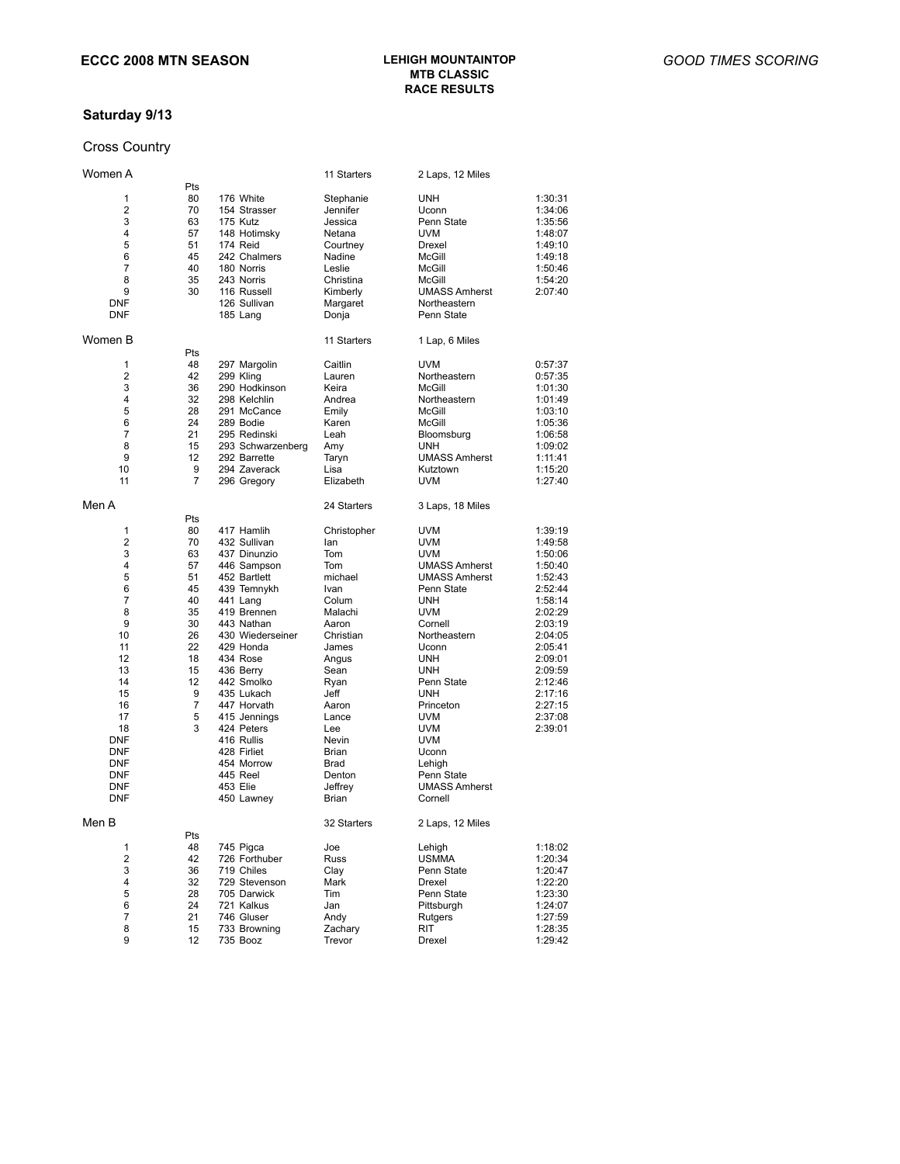## **MTB CLASSIC RACE RESULTS**

### **Saturday 9/13**

## Cross Country

| Women A    |     |                   | 11 Starters | 2 Laps, 12 Miles     |         |
|------------|-----|-------------------|-------------|----------------------|---------|
|            | Pts |                   |             |                      |         |
| 1          | 80  | 176 White         | Stephanie   | UNH                  | 1:30:31 |
| 2          | 70  | 154 Strasser      | Jennifer    | Uconn                | 1:34:06 |
| 3          | 63  | 175 Kutz          | Jessica     | Penn State           | 1:35:56 |
| 4          | 57  | 148 Hotimsky      | Netana      | <b>UVM</b>           | 1:48:07 |
| 5          | 51  | 174 Reid          | Courtney    | Drexel               | 1:49:10 |
| 6          | 45  | 242 Chalmers      | Nadine      | McGill               | 1:49:18 |
| 7          | 40  | 180 Norris        | Leslie      | McGill               | 1:50:46 |
| 8          |     |                   |             |                      |         |
|            | 35  | 243 Norris        | Christina   | McGill               | 1:54:20 |
| 9          | 30  | 116 Russell       | Kimberly    | <b>UMASS Amherst</b> | 2:07:40 |
| <b>DNF</b> |     | 126 Sullivan      | Margaret    | Northeastern         |         |
| <b>DNF</b> |     | 185 Lang          | Donja       | Penn State           |         |
| Women B    |     |                   | 11 Starters | 1 Lap, 6 Miles       |         |
|            | Pts |                   |             |                      |         |
| 1          | 48  | 297 Margolin      | Caitlin     | <b>UVM</b>           | 0:57:37 |
| 2          | 42  | 299 Kling         | Lauren      | Northeastern         | 0:57:35 |
| 3          | 36  | 290 Hodkinson     | Keira       | McGill               | 1:01:30 |
| 4          | 32  | 298 Kelchlin      | Andrea      | Northeastern         | 1:01:49 |
| 5          | 28  | 291 McCance       | Emily       | McGill               | 1:03:10 |
|            |     |                   |             |                      |         |
| 6          | 24  | 289 Bodie         | Karen       | McGill               | 1:05:36 |
| 7          | 21  | 295 Redinski      | Leah        | Bloomsburg           | 1:06:58 |
| 8          | 15  | 293 Schwarzenberg | Amy         | UNH                  | 1:09:02 |
| 9          | 12  | 292 Barrette      | Taryn       | <b>UMASS Amherst</b> | 1:11:41 |
| 10         | 9   | 294 Zaverack      | Lisa        | Kutztown             | 1:15:20 |
| 11         | 7   | 296 Gregory       | Elizabeth   | <b>UVM</b>           | 1:27:40 |
| Men A      |     |                   | 24 Starters | 3 Laps, 18 Miles     |         |
|            | Pts |                   |             |                      |         |
| 1          | 80  | 417 Hamlih        | Christopher | <b>UVM</b>           | 1:39:19 |
| 2          | 70  | 432 Sullivan      | lan         | <b>UVM</b>           | 1:49:58 |
| 3          | 63  | 437 Dinunzio      | Tom         | <b>UVM</b>           | 1:50:06 |
| 4          | 57  | 446 Sampson       | Tom         | <b>UMASS Amherst</b> | 1:50:40 |
| 5          | 51  | 452 Bartlett      | michael     | <b>UMASS Amherst</b> | 1:52:43 |
| 6          | 45  |                   |             |                      | 2:52:44 |
|            |     | 439 Temnykh       | Ivan        | Penn State           |         |
| 7          | 40  | 441 Lang          | Colum       | UNH                  | 1:58:14 |
| 8          | 35  | 419 Brennen       | Malachi     | <b>UVM</b>           | 2:02:29 |
| 9          | 30  | 443 Nathan        | Aaron       | Cornell              | 2:03:19 |
| 10         | 26  | 430 Wiederseiner  | Christian   | Northeastern         | 2:04:05 |
| 11         | 22  | 429 Honda         | James       | Uconn                | 2:05:41 |
| 12         | 18  | 434 Rose          | Angus       | UNH                  | 2:09:01 |
| 13         | 15  | 436 Berry         | Sean        | UNH                  | 2:09:59 |
| 14         | 12  | 442 Smolko        | Ryan        | Penn State           | 2:12:46 |
|            | 9   | 435 Lukach        | Jeff        | <b>UNH</b>           |         |
| 15         |     |                   |             |                      | 2:17:16 |
| 16         | 7   | 447 Horvath       | Aaron       | Princeton            | 2:27:15 |
| 17         | 5   | 415 Jennings      | Lance       | <b>UVM</b>           | 2:37:08 |
| 18         | 3   | 424 Peters        | Lee         | <b>UVM</b>           | 2:39:01 |
| <b>DNF</b> |     | 416 Rullis        | Nevin       | <b>UVM</b>           |         |
| <b>DNF</b> |     | 428 Firliet       | Brian       | Uconn                |         |
| <b>DNF</b> |     | 454 Morrow        | Brad        | Lehigh               |         |
| <b>DNF</b> |     | 445 Reel          | Denton      | Penn State           |         |
|            |     |                   |             |                      |         |
| <b>DNF</b> |     | 453 Elie          | Jeffrey     | <b>UMASS Amherst</b> |         |
| <b>DNF</b> |     | 450 Lawney        | Brian       | Cornell              |         |
| Men B      |     |                   | 32 Starters | 2 Laps, 12 Miles     |         |
|            | Pts |                   |             |                      |         |
| 1          | 48  | 745 Pigca         | Joe         | Lehigh               | 1:18:02 |
| 2          | 42  | 726 Forthuber     | Russ        | <b>USMMA</b>         | 1:20:34 |
| 3          | 36  | 719 Chiles        | Clay        | Penn State           | 1:20:47 |
| 4          | 32  | 729 Stevenson     | Mark        | Drexel               | 1:22:20 |
| 5          | 28  | 705 Darwick       | Tim         | Penn State           | 1:23:30 |
| 6          | 24  | 721 Kalkus        | Jan         | Pittsburgh           | 1:24:07 |
| 7          | 21  | 746 Gluser        | Andy        | Rutgers              | 1:27:59 |
| 8          | 15  | 733 Browning      | Zachary     | RIT                  |         |
|            |     |                   |             |                      | 1:28:35 |
| 9          | 12  | 735 Booz          | Trevor      | Drexel               | 1:29:42 |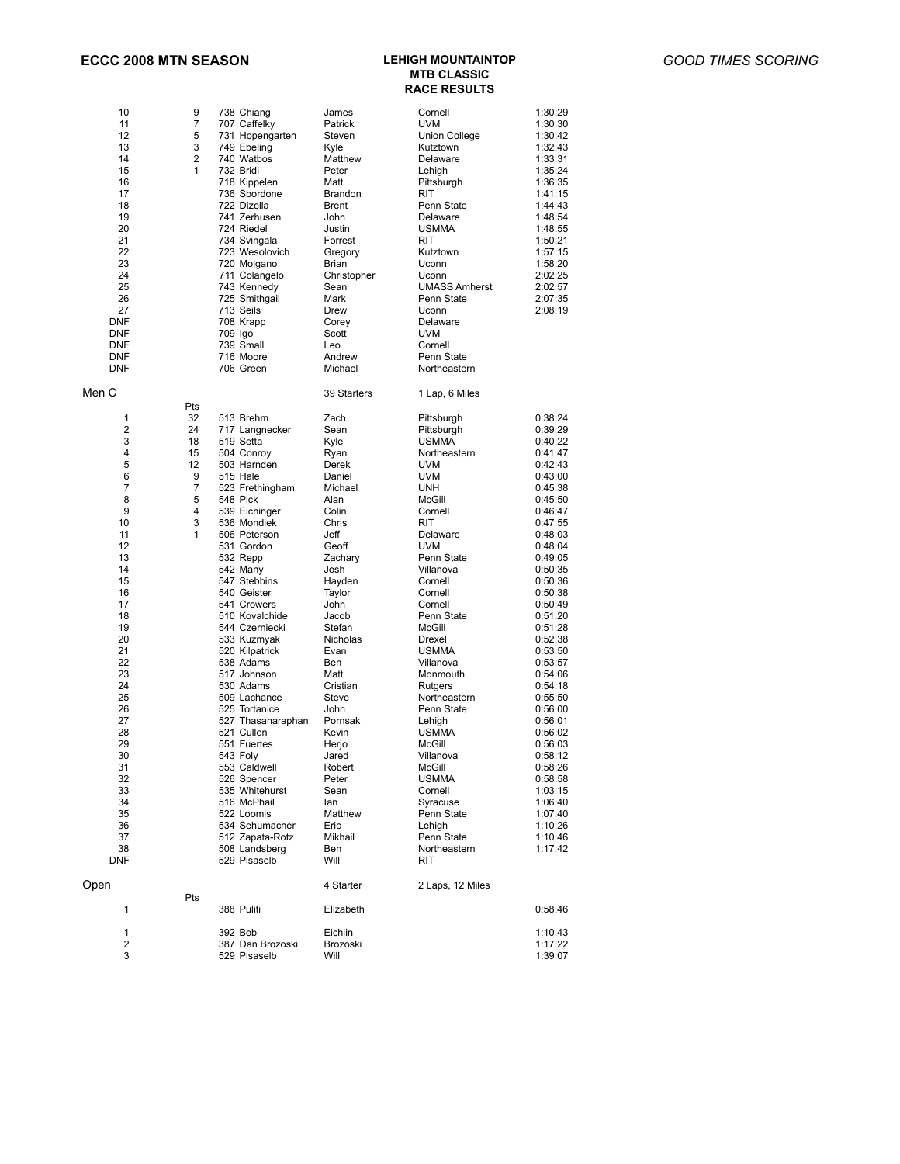#### **ECCC 2008 MTN SEASON LEHIGH MOUNTAINTOP**

## **MTB CLASSIC RACE RESULTS**

| 10<br>11<br>12<br>13<br>14<br>15<br>16<br>17<br>18<br>19<br>20<br>21<br>22<br>23<br>24<br>25<br>26<br>27<br>DNF<br>DNF<br>DNF<br>DNF<br>DNF                                                                                    | 9<br>7<br>5<br>3<br>$\overline{2}$<br>1                         | 738 Chiang<br>707 Caffelky<br>731 Hopengarten<br>749 Ebeling<br>740 Watbos<br>732 Bridi<br>718 Kippelen<br>736 Sbordone<br>722 Dizella<br>741 Zerhusen<br>724 Riedel<br>734 Svingala<br>723 Wesolovich<br>720 Molgano<br>711 Colangelo<br>743 Kennedy<br>725 Smithgail<br>713 Seils<br>708 Krapp<br>709 Igo<br>739 Small<br>716 Moore<br>706 Green                                                                                                                                                                                                                                                                    | James<br>Patrick<br>Steven<br>Kvle<br>Matthew<br>Peter<br>Matt<br><b>Brandon</b><br><b>Brent</b><br>John<br>Justin<br>Forrest<br>Gregory<br>Brian<br>Christopher<br>Sean<br>Mark<br>Drew<br>Corey<br>Scott<br>Leo<br>Andrew<br>Michael                                                                                                                       | Cornell<br>UVM<br>Union College<br>Kutztown<br>Delaware<br>Lehigh<br>Pittsburgh<br>RIT<br>Penn State<br>Delaware<br><b>USMMA</b><br><b>RIT</b><br>Kutztown<br>Uconn<br>Uconn<br><b>UMASS Amherst</b><br>Penn State<br>Uconn<br>Delaware<br>UVM<br>Cornell<br>Penn State<br>Northeastern                                                                                                                                                                                                   | 1:30:29<br>1:30:30<br>1:30:42<br>1:32:43<br>1:33:31<br>1:35:24<br>1:36:35<br>1:41:15<br>1:44:43<br>1:48:54<br>1:48:55<br>1:50:21<br>1:57:15<br>1:58:20<br>2:02:25<br>2:02:57<br>2:07:35<br>2:08:19                                                                                                                                                                                                                             |
|--------------------------------------------------------------------------------------------------------------------------------------------------------------------------------------------------------------------------------|-----------------------------------------------------------------|-----------------------------------------------------------------------------------------------------------------------------------------------------------------------------------------------------------------------------------------------------------------------------------------------------------------------------------------------------------------------------------------------------------------------------------------------------------------------------------------------------------------------------------------------------------------------------------------------------------------------|--------------------------------------------------------------------------------------------------------------------------------------------------------------------------------------------------------------------------------------------------------------------------------------------------------------------------------------------------------------|-------------------------------------------------------------------------------------------------------------------------------------------------------------------------------------------------------------------------------------------------------------------------------------------------------------------------------------------------------------------------------------------------------------------------------------------------------------------------------------------|--------------------------------------------------------------------------------------------------------------------------------------------------------------------------------------------------------------------------------------------------------------------------------------------------------------------------------------------------------------------------------------------------------------------------------|
| Men C                                                                                                                                                                                                                          |                                                                 |                                                                                                                                                                                                                                                                                                                                                                                                                                                                                                                                                                                                                       | 39 Starters                                                                                                                                                                                                                                                                                                                                                  | 1 Lap, 6 Miles                                                                                                                                                                                                                                                                                                                                                                                                                                                                            |                                                                                                                                                                                                                                                                                                                                                                                                                                |
| 1<br>2<br>3<br>4<br>5<br>6<br>7<br>8<br>9<br>10<br>11<br>12<br>13<br>14<br>15<br>16<br>17<br>18<br>19<br>20<br>21<br>22<br>23<br>24<br>25<br>26<br>27<br>28<br>29<br>30<br>31<br>32<br>33<br>34<br>35<br>36<br>37<br>38<br>DNF | Pts<br>32<br>24<br>18<br>15<br>12<br>9<br>7<br>5<br>4<br>3<br>1 | 513 Brehm<br>717 Langnecker<br>519 Setta<br>504 Conroy<br>503 Harnden<br>515 Hale<br>523 Frethingham<br>548 Pick<br>539 Eichinger<br>536 Mondiek<br>506 Peterson<br>531 Gordon<br>532 Repp<br>542 Many<br>547 Stebbins<br>540 Geister<br>541 Crowers<br>510 Kovalchide<br>544 Czerniecki<br>533 Kuzmyak<br>520 Kilpatrick<br>538 Adams<br>517 Johnson<br>530 Adams<br>509 Lachance<br>525 Tortanice<br>527 Thasanaraphan<br>521 Cullen<br>551 Fuertes<br>543 Foly<br>553 Caldwell<br>526 Spencer<br>535 Whitehurst<br>516 McPhail<br>522 Loomis<br>534 Sehumacher<br>512 Zapata-Rotz<br>508 Landsberg<br>529 Pisaselb | Zach<br>Sean<br>Kyle<br>Ryan<br>Derek<br>Daniel<br>Michael<br>Alan<br>Colin<br>Chris<br>Jeff<br>Geoff<br>Zachary<br>Josh<br>Hayden<br>Taylor<br>John<br>Jacob<br>Stefan<br>Nicholas<br>Evan<br>Ben<br>Matt<br>Cristian<br>Steve<br>John<br>Pornsak<br>Kevin<br>Herjo<br>Jared<br>Robert<br>Peter<br>Sean<br>lan<br>Matthew<br>Eric<br>Mikhail<br>Ben<br>Will | Pittsburgh<br>Pittsburgh<br>USMMA<br>Northeastern<br>UVM<br><b>UVM</b><br><b>UNH</b><br>McGill<br>Cornell<br><b>RIT</b><br>Delaware<br>UVM<br>Penn State<br>Villanova<br>Cornell<br>Cornell<br>Cornell<br>Penn State<br>McGill<br>Drexel<br><b>USMMA</b><br>Villanova<br>Monmouth<br>Rutgers<br>Northeastern<br>Penn State<br>Lehigh<br><b>USMMA</b><br>McGill<br>Villanova<br>MCGIII<br>USMMA<br>Cornell<br>Syracuse<br>Penn State<br>Lehigh<br>Penn State<br>Northeastern<br><b>RIT</b> | 0:38:24<br>0:39:29<br>0:40:22<br>0:41:47<br>0:42:43<br>0:43:00<br>0:45:38<br>0:45:50<br>0:46:47<br>0:47:55<br>0:48:03<br>0:48:04<br>0:49:05<br>0:50:35<br>0:50:36<br>0:50:38<br>0:50:49<br>0:51:20<br>0:51:28<br>0:52:38<br>0:53:50<br>0:53:57<br>0:54:06<br>0:54:18<br>0:55:50<br>0:56:00<br>0:56:01<br>0:56:02<br>0:56:03<br>0:58:12<br>0:58:26<br>0:58:58<br>1:03:15<br>1:06:40<br>1:07:40<br>1:10:26<br>1:10:46<br>1:17:42 |
| Open                                                                                                                                                                                                                           |                                                                 |                                                                                                                                                                                                                                                                                                                                                                                                                                                                                                                                                                                                                       | 4 Starter                                                                                                                                                                                                                                                                                                                                                    | 2 Laps, 12 Miles                                                                                                                                                                                                                                                                                                                                                                                                                                                                          |                                                                                                                                                                                                                                                                                                                                                                                                                                |
| 1                                                                                                                                                                                                                              | Pts                                                             | 388 Puliti                                                                                                                                                                                                                                                                                                                                                                                                                                                                                                                                                                                                            | Elizabeth                                                                                                                                                                                                                                                                                                                                                    |                                                                                                                                                                                                                                                                                                                                                                                                                                                                                           | 0:58:46                                                                                                                                                                                                                                                                                                                                                                                                                        |
| 1<br>2<br>3                                                                                                                                                                                                                    |                                                                 | 392 Bob<br>387 Dan Brozoski<br>529 Pisaselb                                                                                                                                                                                                                                                                                                                                                                                                                                                                                                                                                                           | Eichlin<br>Brozoski<br>Will                                                                                                                                                                                                                                                                                                                                  |                                                                                                                                                                                                                                                                                                                                                                                                                                                                                           | 1:10:43<br>1:17:22<br>1:39:07                                                                                                                                                                                                                                                                                                                                                                                                  |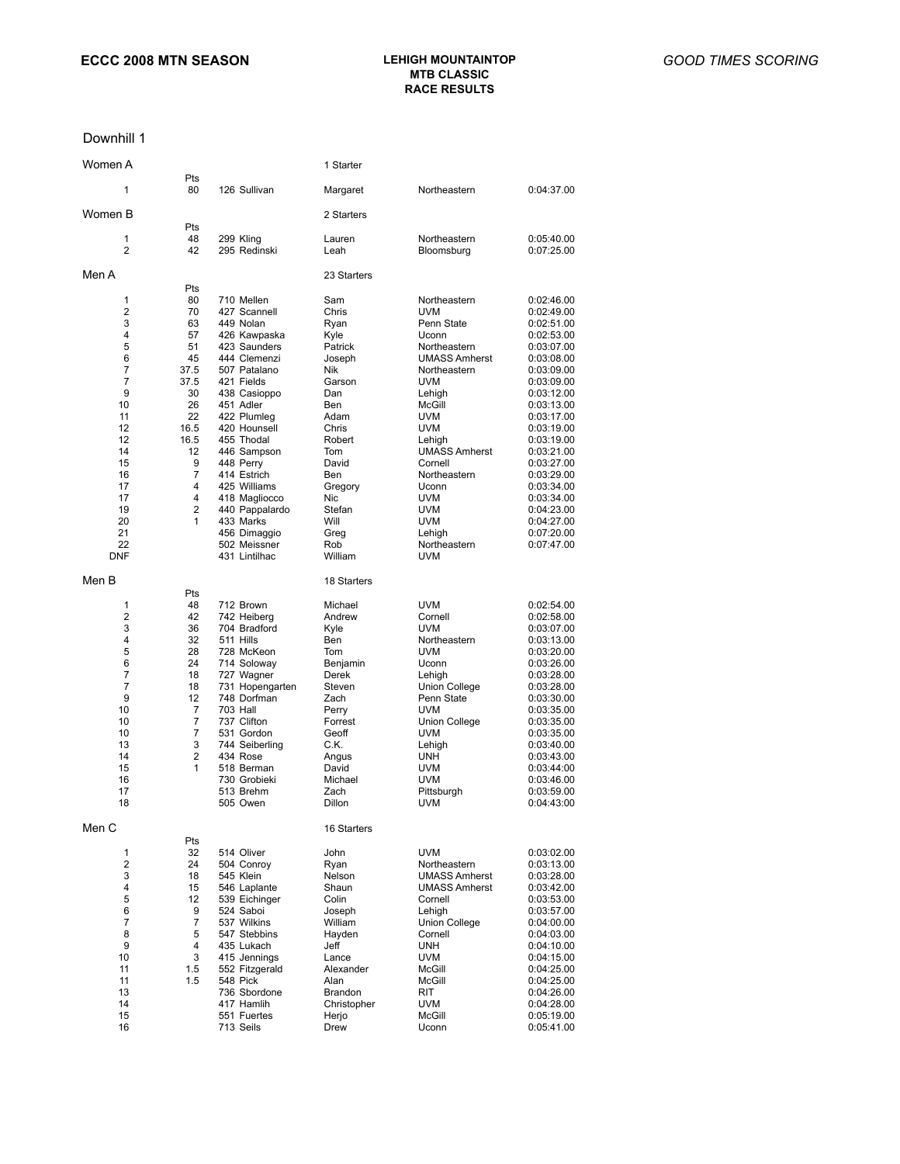## **MTB CLASSIC RACE RESULTS**

#### Downhill 1

| Women A        |                |                              | 1 Starter              |                                 |                          |
|----------------|----------------|------------------------------|------------------------|---------------------------------|--------------------------|
| 1              | Pts<br>80      | 126 Sullivan                 | Margaret               | Northeastern                    | 0:04:37.00               |
| Women B        |                |                              | 2 Starters             |                                 |                          |
| 1              | Pts<br>48      | 299 Kling                    | Lauren                 | Northeastern                    | 0:05:40.00               |
| 2              | 42             | 295 Redinski                 | Leah                   | Bloomsburg                      | 0:07:25.00               |
| Men A          |                |                              | 23 Starters            |                                 |                          |
| 1              | Pts<br>80      | 710 Mellen                   | Sam                    | Northeastern                    | 0:02:46.00               |
| $\overline{2}$ | 70             | 427 Scannell                 | Chris                  | <b>UVM</b>                      | 0:02:49.00               |
| 3              | 63             | 449 Nolan                    | Ryan                   | Penn State                      | 0:02:51.00               |
| 4              | 57             | 426 Kawpaska                 | Kyle                   | Uconn                           | 0:02:53.00               |
| 5              | 51             | 423 Saunders                 | Patrick                | Northeastern                    | 0:03:07.00               |
| 6              | 45             | 444 Clemenzi                 | Joseph                 | <b>UMASS Amherst</b>            | 0:03:08.00               |
| 7<br>7         | 37.5<br>37.5   | 507 Patalano<br>421 Fields   | Nik<br>Garson          | Northeastern<br><b>UVM</b>      | 0:03:09.00<br>0:03:09.00 |
| 9              | 30             | 438 Casioppo                 | Dan                    | Lehigh                          | 0:03:12.00               |
| 10             | 26             | 451 Adler                    | Ben                    | McGill                          | 0:03:13.00               |
| 11             | 22             | 422 Plumleg                  | Adam                   | <b>UVM</b>                      | 0:03:17.00               |
| 12             | 16.5           | 420 Hounsell                 | Chris                  | <b>UVM</b>                      | 0:03:19.00               |
| 12             | 16.5           | 455 Thodal                   | Robert                 | Lehigh                          | 0:03:19.00               |
| 14<br>15       | 12<br>9        | 446 Sampson<br>448 Perry     | Tom<br>David           | <b>UMASS Amherst</b><br>Cornell | 0:03:21.00<br>0:03:27.00 |
| 16             | $\overline{7}$ | 414 Estrich                  | Ben                    | Northeastern                    | 0:03:29.00               |
| 17             | 4              | 425 Williams                 | Gregory                | Uconn                           | 0:03:34.00               |
| 17             | 4              | 418 Magliocco                | Nic                    | <b>UVM</b>                      | 0:03:34.00               |
| 19             | $\overline{2}$ | 440 Pappalardo               | Stefan                 | uvm                             | 0:04:23.00               |
| 20             | 1              | 433 Marks<br>456 Dimaggio    | Will                   | UVM<br>Lehigh                   | 0:04:27.00               |
| 21<br>22       |                | 502 Meissner                 | Greg<br>Rob            | Northeastern                    | 0:07:20.00<br>0:07:47.00 |
| DNF            |                | 431 Lintilhac                | William                | UVM                             |                          |
| Men B          | Pts            |                              | 18 Starters            |                                 |                          |
| 1              | 48             | 712 Brown                    | Michael                | <b>UVM</b>                      | 0:02:54.00               |
| 2              | 42             | 742 Heiberg                  | Andrew                 | Cornell                         | 0:02:58.00               |
| 3              | 36             | 704 Bradford                 | Kyle                   | <b>UVM</b>                      | 0:03:07.00               |
| 4              | 32             | 511 Hills                    | Ben                    | Northeastern                    | 0:03:13.00               |
| 5              | 28             | 728 McKeon                   | Tom                    | <b>UVM</b>                      | 0:03:20.00               |
| 6<br>7         | 24<br>18       | 714 Soloway<br>727 Wagner    | Benjamin<br>Derek      | Uconn<br>Lehigh                 | 0:03:26.00<br>0:03:28.00 |
| 7              | 18             | 731 Hopengarten              | Steven                 | Union College                   | 0:03:28.00               |
| 9              | 12             | 748 Dorfman                  | Zach                   | Penn State                      | 0:03:30.00               |
| 10             | 7              | <b>703 Hall</b>              | Perry                  | UVM                             | 0:03:35.00               |
| 10             | 7              | 737 Clifton                  | Forrest                | Union College                   | 0:03:35.00               |
| 10<br>13       | 7<br>3         | 531 Gordon<br>744 Seiberling | Geoff<br>C.K.          | <b>UVM</b><br>Lehigh            | 0:03:35.00<br>0:03:40.00 |
| 14             | 2              | 434 Rose                     | Angus                  | UNH                             | 0:03:43.00               |
| 15             | 1              | 518 Berman                   | David                  | <b>UVM</b>                      | 0:03:44:00               |
| 16             |                | 730 Grobieki                 | Michael                | <b>UVM</b>                      | 0:03:46.00               |
| 17<br>18       |                | 513 Brehm<br>505 Owen        | Zach<br>Dillon         | Pittsburgh<br>UVM               | 0:03:59.00<br>0:04:43:00 |
| Men C          |                |                              | 16 Starters            |                                 |                          |
|                | Pts<br>32      |                              | John                   | UVM                             |                          |
| 1<br>2         | 24             | 514 Oliver<br>504 Conroy     | Ryan                   | Northeastern                    | 0:03:02.00<br>0:03:13.00 |
| 3              | 18             | 545 Klein                    | Nelson                 | <b>UMASS Amherst</b>            | 0:03:28.00               |
| 4              | 15             | 546 Laplante                 | Shaun                  | <b>UMASS Amherst</b>            | 0:03:42.00               |
| 5              | 12             | 539 Eichinger                | Colin                  | Cornell                         | 0:03:53.00               |
| 6              | 9              | 524 Saboi                    | Joseph                 | Lehigh                          | 0:03:57.00               |
| 7<br>8         | 7<br>5         | 537 Wilkins<br>547 Stebbins  | William<br>Hayden      | <b>Union College</b><br>Cornell | 0:04:00.00<br>0:04:03.00 |
| 9              | 4              | 435 Lukach                   | Jeff                   | UNH                             | 0:04:10.00               |
| 10             | 3              | 415 Jennings                 | Lance                  | UVM                             | 0:04:15.00               |
| 11             | 1.5            | 552 Fitzgerald               | Alexander              | McGill                          | 0:04:25.00               |
| 11             | 1.5            | 548 Pick                     | Alan                   | McGill                          | 0:04:25.00               |
| 13<br>14       |                | 736 Sbordone                 | Brandon<br>Christopher | RIT                             | 0:04:26.00<br>0:04:28.00 |
| 15             |                | 417 Hamlih<br>551 Fuertes    | Herjo                  | uvm<br>McGill                   | 0:05:19.00               |
| 16             |                | 713 Seils                    | Drew                   | Uconn                           | 0:05:41.00               |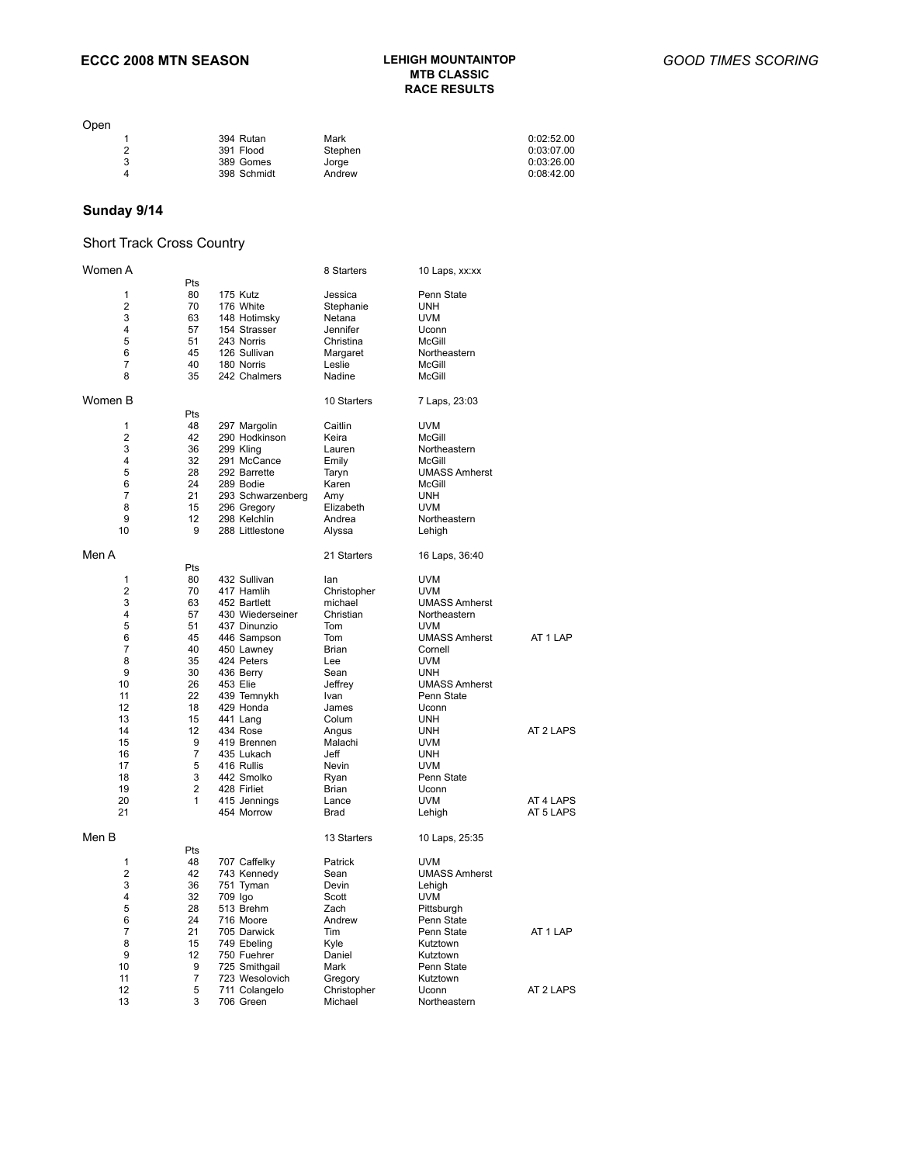# **LEHIGH MOUNTAINTOP<br>MTB CLASSIC RACE RESULTS**

| Open |             |         |            |
|------|-------------|---------|------------|
|      | 394 Rutan   | Mark    | 0:02:52.00 |
| 2    | 391 Flood   | Stephen | 0:03:07.00 |
| 3    | 389 Gomes   | Jorge   | 0:03:26.00 |
| 4    | 398 Schmidt | Andrew  | 0:08:42.00 |
|      |             |         |            |

### **Sunday 9/14**

### Short Track Cross Country

| Women A        |     |                   | 8 Starters  | 10 Laps, xx:xx       |           |
|----------------|-----|-------------------|-------------|----------------------|-----------|
|                | Pts |                   |             |                      |           |
| 1              | 80  | 175 Kutz          | Jessica     | Penn State           |           |
| $\overline{2}$ | 70  | 176 White         | Stephanie   | <b>UNH</b>           |           |
| 3              | 63  | 148 Hotimsky      | Netana      | <b>UVM</b>           |           |
| 4              | 57  | 154 Strasser      | Jennifer    | Uconn                |           |
| 5              | 51  | 243 Norris        | Christina   | McGill               |           |
| 6              | 45  | 126 Sullivan      | Margaret    | Northeastern         |           |
| 7              | 40  | 180 Norris        | Leslie      | McGill               |           |
| 8              | 35  | 242 Chalmers      | Nadine      | McGill               |           |
| Women B        |     |                   | 10 Starters | 7 Laps, 23:03        |           |
|                | Pts |                   |             |                      |           |
| 1              | 48  | 297 Margolin      | Caitlin     | <b>UVM</b>           |           |
| $\overline{2}$ | 42  | 290 Hodkinson     | Keira       | McGill               |           |
| 3              | 36  | 299 Kling         | Lauren      | Northeastern         |           |
| 4              | 32  | 291 McCance       | Emily       | McGill               |           |
| 5              | 28  | 292 Barrette      | Taryn       | <b>UMASS Amherst</b> |           |
| 6              | 24  | 289 Bodie         | Karen       | McGill               |           |
| 7              | 21  | 293 Schwarzenberg | Amy         | <b>UNH</b>           |           |
| 8              | 15  | 296 Gregory       | Elizabeth   | <b>UVM</b>           |           |
| 9              | 12  | 298 Kelchlin      | Andrea      | Northeastern         |           |
| 10             | 9   | 288 Littlestone   | Alyssa      | Lehigh               |           |
| Men A          |     |                   | 21 Starters | 16 Laps, 36:40       |           |
|                | Pts |                   |             |                      |           |
| 1              | 80  | 432 Sullivan      | lan         | <b>UVM</b>           |           |
| $\overline{2}$ | 70  | 417 Hamlih        | Christopher | <b>UVM</b>           |           |
| 3              | 63  | 452 Bartlett      | michael     | <b>UMASS Amherst</b> |           |
| 4              | 57  | 430 Wiederseiner  | Christian   | Northeastern         |           |
| 5              | 51  | 437 Dinunzio      | Tom         | <b>UVM</b>           |           |
| 6              | 45  | 446 Sampson       | Tom         | <b>UMASS Amherst</b> | AT 1 LAP  |
| 7              | 40  | 450 Lawney        | Brian       | Cornell              |           |
| 8              | 35  | 424 Peters        | Lee         | <b>UVM</b>           |           |
| 9              | 30  | 436 Berry         | Sean        | <b>UNH</b>           |           |
| 10             | 26  | 453 Elie          | Jeffrey     | <b>UMASS Amherst</b> |           |
| 11             | 22  | 439 Temnykh       | Ivan        | Penn State           |           |
| 12             | 18  | 429 Honda         | James       | Uconn                |           |
| 13             | 15  | 441 Lang          | Colum       | <b>UNH</b>           |           |
| 14             | 12  | 434 Rose          | Angus       | <b>UNH</b>           | AT 2 LAPS |
| 15             | 9   | 419 Brennen       | Malachi     | <b>UVM</b>           |           |
| 16             | 7   | 435 Lukach        | Jeff        | <b>UNH</b>           |           |
| 17             | 5   | 416 Rullis        | Nevin       | <b>UVM</b>           |           |
| 18             | 3   | 442 Smolko        | Ryan        | Penn State           |           |
| 19             | 2   | 428 Firliet       | Brian       | Uconn                |           |
| 20             | 1   | 415 Jennings      | Lance       | <b>UVM</b>           | AT 4 LAPS |
| 21             |     | 454 Morrow        | Brad        | Lehigh               | AT 5 LAPS |
| Men B          |     |                   | 13 Starters | 10 Laps, 25:35       |           |
|                | Pts |                   |             |                      |           |
| 1              | 48  | 707 Caffelky      | Patrick     | <b>UVM</b>           |           |
| $\overline{2}$ | 42  | 743 Kennedy       | Sean        | <b>UMASS Amherst</b> |           |
| 3              | 36  | 751 Tyman         | Devin       | Lehigh               |           |
| 4              | 32  | 709 Igo           | Scott       | <b>UVM</b>           |           |
| 5              | 28  | 513 Brehm         | Zach        | Pittsburgh           |           |
| 6              | 24  | 716 Moore         | Andrew      | Penn State           |           |
| $\overline{7}$ | 21  | 705 Darwick       | Tim         | Penn State           | AT 1 LAP  |
| 8              | 15  | 749 Ebeling       | Kyle        | Kutztown             |           |
| 9              | 12  | 750 Fuehrer       | Daniel      | Kutztown             |           |
| 10             | 9   | 725 Smithgail     | Mark        | Penn State           |           |
| 11             | 7   | 723 Wesolovich    | Gregory     | Kutztown             |           |
| 12             | 5   | 711 Colangelo     | Christopher | Uconn                | AT 2 LAPS |
| 13             | 3   | 706 Green         | Michael     | Northeastern         |           |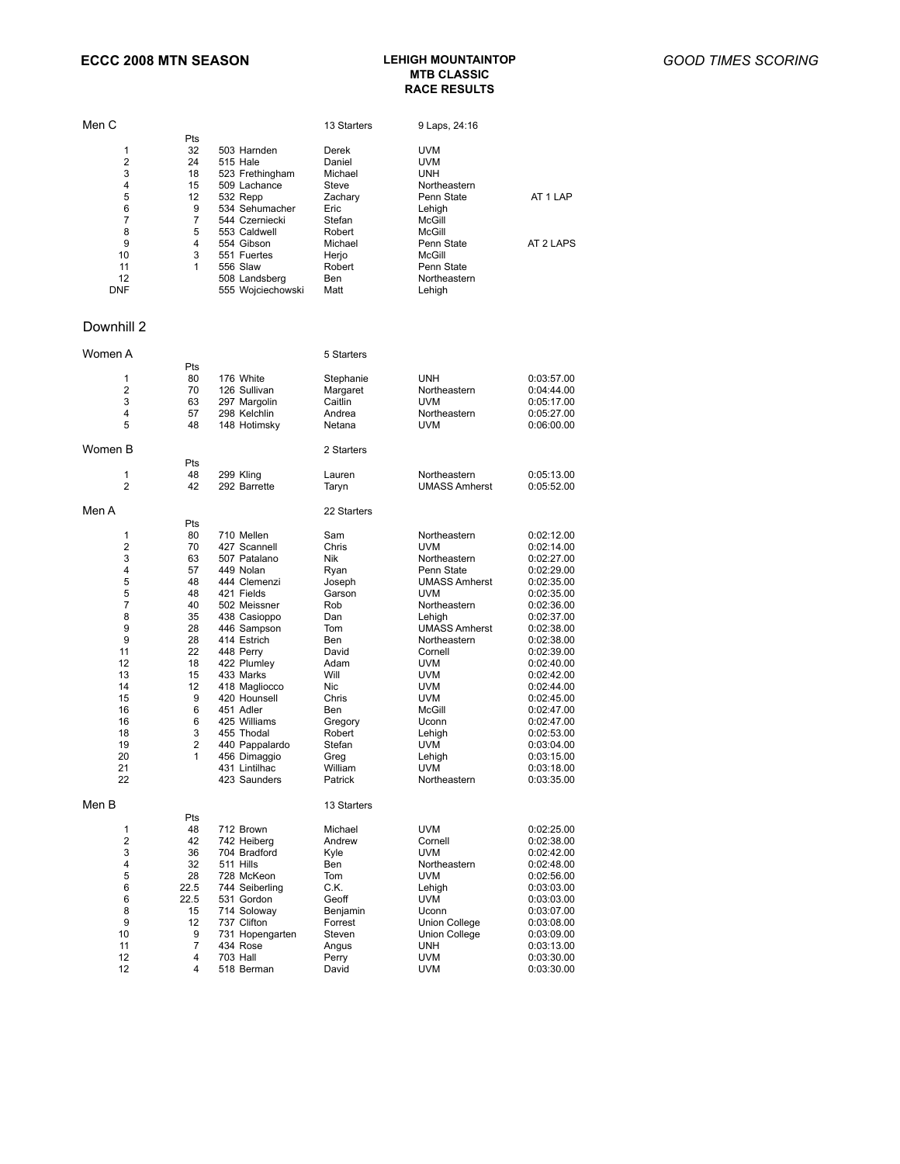#### **ECCC 2008 MTN SEASON LEHIGH MOUNTAINTOP MTB CLASSIC RACE RESULTS**

|                                                                                                                       |                                                                                                                                                                                                                                                                                                                                             | 13 Starters                                                                                                                                                                              | 9 Laps, 24:16                                                                                                                                                                                                                                                                                                                 |                                                                                                                                                                                                                                                                                                                  |
|-----------------------------------------------------------------------------------------------------------------------|---------------------------------------------------------------------------------------------------------------------------------------------------------------------------------------------------------------------------------------------------------------------------------------------------------------------------------------------|------------------------------------------------------------------------------------------------------------------------------------------------------------------------------------------|-------------------------------------------------------------------------------------------------------------------------------------------------------------------------------------------------------------------------------------------------------------------------------------------------------------------------------|------------------------------------------------------------------------------------------------------------------------------------------------------------------------------------------------------------------------------------------------------------------------------------------------------------------|
| 32<br>24<br>18<br>15<br>12<br>9<br>7<br>5<br>4<br>3<br>1                                                              | 503 Harnden<br>515 Hale<br>523 Frethingham<br>509 Lachance<br>532 Repp<br>534 Sehumacher<br>544 Czerniecki<br>553 Caldwell<br>554 Gibson<br>551 Fuertes<br>556 Slaw<br>508 Landsberg<br>555 Wojciechowski                                                                                                                                   | Derek<br>Daniel<br>Michael<br>Steve<br>Zachary<br>Eric<br>Stefan<br>Robert<br>Michael<br>Herjo<br>Robert<br>Ben<br>Matt                                                                  | <b>UVM</b><br><b>UVM</b><br><b>UNH</b><br>Northeastern<br>Penn State<br>Lehigh<br>McGill<br>McGill<br>Penn State<br>McGill<br>Penn State<br>Northeastern<br>Lehigh                                                                                                                                                            | AT 1 LAP<br>AT 2 LAPS                                                                                                                                                                                                                                                                                            |
|                                                                                                                       |                                                                                                                                                                                                                                                                                                                                             |                                                                                                                                                                                          |                                                                                                                                                                                                                                                                                                                               |                                                                                                                                                                                                                                                                                                                  |
|                                                                                                                       |                                                                                                                                                                                                                                                                                                                                             | 5 Starters                                                                                                                                                                               |                                                                                                                                                                                                                                                                                                                               |                                                                                                                                                                                                                                                                                                                  |
| Pts<br>80<br>70<br>63<br>57<br>48                                                                                     | 176 White<br>126 Sullivan<br>297 Margolin<br>298 Kelchlin<br>148 Hotimsky                                                                                                                                                                                                                                                                   | Stephanie<br>Margaret<br>Caitlin<br>Andrea<br>Netana                                                                                                                                     | <b>UNH</b><br>Northeastern<br><b>UVM</b><br>Northeastern<br><b>UVM</b>                                                                                                                                                                                                                                                        | 0:03:57.00<br>0:04:44.00<br>0:05:17.00<br>0:05:27.00<br>0:06:00.00                                                                                                                                                                                                                                               |
|                                                                                                                       |                                                                                                                                                                                                                                                                                                                                             | 2 Starters                                                                                                                                                                               |                                                                                                                                                                                                                                                                                                                               |                                                                                                                                                                                                                                                                                                                  |
| 48<br>42                                                                                                              | 299 Kling<br>292 Barrette                                                                                                                                                                                                                                                                                                                   | Lauren<br>Taryn                                                                                                                                                                          | Northeastern<br><b>UMASS Amherst</b>                                                                                                                                                                                                                                                                                          | 0:05:13.00<br>0:05:52.00                                                                                                                                                                                                                                                                                         |
|                                                                                                                       |                                                                                                                                                                                                                                                                                                                                             | 22 Starters                                                                                                                                                                              |                                                                                                                                                                                                                                                                                                                               |                                                                                                                                                                                                                                                                                                                  |
| Pts<br>80<br>70<br>63<br>57<br>48<br>48<br>40<br>35<br>28<br>28<br>22<br>18<br>15<br>12<br>9<br>6<br>6<br>3<br>2<br>1 | 710 Mellen<br>427 Scannell<br>507 Patalano<br>449 Nolan<br>444 Clemenzi<br>421 Fields<br>502 Meissner<br>438 Casioppo<br>446 Sampson<br>414 Estrich<br>448 Perry<br>422 Plumley<br>433 Marks<br>418 Magliocco<br>420 Hounsell<br>451 Adler<br>425 Williams<br>455 Thodal<br>440 Pappalardo<br>456 Dimaggio<br>431 Lintilhac<br>423 Saunders | Sam<br>Chris<br>Nik<br>Ryan<br>Joseph<br>Garson<br>Rob<br>Dan<br>Tom<br>Ben<br>David<br>Adam<br>Will<br>Nic<br>Chris<br>Ben<br>Gregory<br>Robert<br>Stefan<br>Greg<br>William<br>Patrick | Northeastern<br><b>UVM</b><br>Northeastern<br>Penn State<br><b>UMASS Amherst</b><br><b>UVM</b><br>Northeastern<br>Lehigh<br><b>UMASS Amherst</b><br>Northeastern<br>Cornell<br><b>UVM</b><br><b>UVM</b><br><b>UVM</b><br><b>UVM</b><br>McGill<br>Uconn<br>Lehigh<br><b>UVM</b><br>Lehigh<br><b>UVM</b><br><b>NOTTNESSTETT</b> | 0:02:12.00<br>0:02:14.00<br>0:02:27.00<br>0:02:29.00<br>0:02:35.00<br>0:02:35.00<br>0:02:36.00<br>0:02:37.00<br>0:02:38.00<br>0:02:38.00<br>0:02:39.00<br>0:02:40.00<br>0:02:42.00<br>0:02:44.00<br>0:02:45.00<br>0:02:47.00<br>0:02:47.00<br>0:02:53.00<br>0:03:04.00<br>0:03:15.00<br>0:03:18.00<br>0:03:35.00 |
| Pts                                                                                                                   |                                                                                                                                                                                                                                                                                                                                             | 13 Starters                                                                                                                                                                              |                                                                                                                                                                                                                                                                                                                               |                                                                                                                                                                                                                                                                                                                  |
| 48<br>42<br>36<br>32<br>28<br>22.5<br>22.5<br>15<br>12<br>9<br>7<br>4                                                 | 712 Brown<br>742 Heiberg<br>704 Bradford<br>511 Hills<br>728 McKeon<br>744 Seiberling<br>531 Gordon<br>714 Solowav<br>737 Clifton<br>731 Hopengarten<br>434 Rose<br>703 Hall                                                                                                                                                                | Michael<br>Andrew<br>Kyle<br>Ben<br>Tom<br>C.K.<br>Geoff<br>Benjamin<br>Forrest<br>Steven<br>Angus<br>Perry                                                                              | <b>UVM</b><br>Cornell<br>UVM<br>Northeastern<br><b>UVM</b><br>Lehigh<br>UVM<br>Uconn<br>Union College<br><b>Union College</b><br><b>UNH</b><br><b>UVM</b>                                                                                                                                                                     | 0:02:25.00<br>0:02:38.00<br>0:02:42.00<br>0:02:48.00<br>0:02:56.00<br>0:03:03.00<br>0:03:03.00<br>0:03:07.00<br>0:03:08.00<br>0:03:09.00<br>0:03:13.00<br>0:03:30.00<br>0:03:30.00                                                                                                                               |
|                                                                                                                       | Pts<br>Pts<br>4                                                                                                                                                                                                                                                                                                                             | 518 Berman                                                                                                                                                                               | David                                                                                                                                                                                                                                                                                                                         | <b>UVM</b>                                                                                                                                                                                                                                                                                                       |